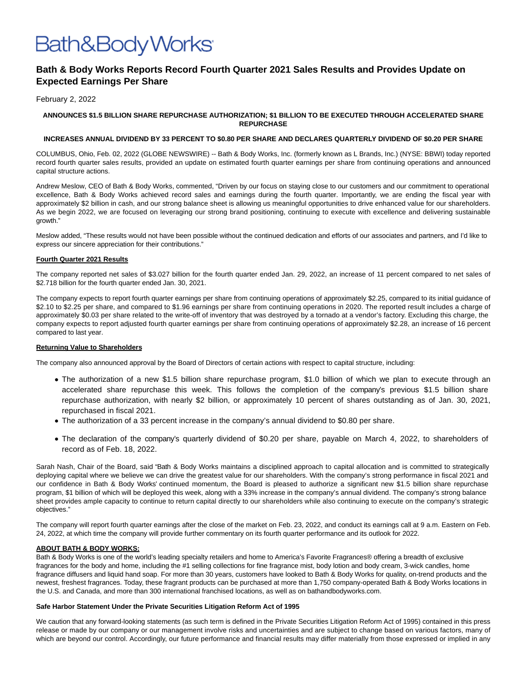# Bath&BodyWorks<sup>®</sup>

## **Bath & Body Works Reports Record Fourth Quarter 2021 Sales Results and Provides Update on Expected Earnings Per Share**

February 2, 2022

#### **ANNOUNCES \$1.5 BILLION SHARE REPURCHASE AUTHORIZATION; \$1 BILLION TO BE EXECUTED THROUGH ACCELERATED SHARE REPURCHASE**

#### **INCREASES ANNUAL DIVIDEND BY 33 PERCENT TO \$0.80 PER SHARE AND DECLARES QUARTERLY DIVIDEND OF \$0.20 PER SHARE**

COLUMBUS, Ohio, Feb. 02, 2022 (GLOBE NEWSWIRE) -- Bath & Body Works, Inc. (formerly known as L Brands, Inc.) (NYSE: BBWI) today reported record fourth quarter sales results, provided an update on estimated fourth quarter earnings per share from continuing operations and announced capital structure actions.

Andrew Meslow, CEO of Bath & Body Works, commented, "Driven by our focus on staying close to our customers and our commitment to operational excellence, Bath & Body Works achieved record sales and earnings during the fourth quarter. Importantly, we are ending the fiscal year with approximately \$2 billion in cash, and our strong balance sheet is allowing us meaningful opportunities to drive enhanced value for our shareholders. As we begin 2022, we are focused on leveraging our strong brand positioning, continuing to execute with excellence and delivering sustainable growth."

Meslow added, "These results would not have been possible without the continued dedication and efforts of our associates and partners, and I'd like to express our sincere appreciation for their contributions."

#### **Fourth Quarter 2021 Results**

The company reported net sales of \$3.027 billion for the fourth quarter ended Jan. 29, 2022, an increase of 11 percent compared to net sales of \$2.718 billion for the fourth quarter ended Jan. 30, 2021.

The company expects to report fourth quarter earnings per share from continuing operations of approximately \$2.25, compared to its initial guidance of \$2.10 to \$2.25 per share, and compared to \$1.96 earnings per share from continuing operations in 2020. The reported result includes a charge of approximately \$0.03 per share related to the write-off of inventory that was destroyed by a tornado at a vendor's factory. Excluding this charge, the company expects to report adjusted fourth quarter earnings per share from continuing operations of approximately \$2.28, an increase of 16 percent compared to last year.

#### **Returning Value to Shareholders**

The company also announced approval by the Board of Directors of certain actions with respect to capital structure, including:

- The authorization of a new \$1.5 billion share repurchase program, \$1.0 billion of which we plan to execute through an accelerated share repurchase this week. This follows the completion of the company's previous \$1.5 billion share repurchase authorization, with nearly \$2 billion, or approximately 10 percent of shares outstanding as of Jan. 30, 2021, repurchased in fiscal 2021.
- The authorization of a 33 percent increase in the company's annual dividend to \$0.80 per share.
- The declaration of the company's quarterly dividend of \$0.20 per share, payable on March 4, 2022, to shareholders of record as of Feb. 18, 2022.

Sarah Nash, Chair of the Board, said "Bath & Body Works maintains a disciplined approach to capital allocation and is committed to strategically deploying capital where we believe we can drive the greatest value for our shareholders. With the company's strong performance in fiscal 2021 and our confidence in Bath & Body Works' continued momentum, the Board is pleased to authorize a significant new \$1.5 billion share repurchase program, \$1 billion of which will be deployed this week, along with a 33% increase in the company's annual dividend. The company's strong balance sheet provides ample capacity to continue to return capital directly to our shareholders while also continuing to execute on the company's strategic objectives."

The company will report fourth quarter earnings after the close of the market on Feb. 23, 2022, and conduct its earnings call at 9 a.m. Eastern on Feb. 24, 2022, at which time the company will provide further commentary on its fourth quarter performance and its outlook for 2022.

#### **ABOUT BATH & BODY WORKS:**

Bath & Body Works is one of the world's leading specialty retailers and home to America's Favorite Fragrances® offering a breadth of exclusive fragrances for the body and home, including the #1 selling collections for fine fragrance mist, body lotion and body cream, 3-wick candles, home fragrance diffusers and liquid hand soap. For more than 30 years, customers have looked to Bath & Body Works for quality, on-trend products and the newest, freshest fragrances. Today, these fragrant products can be purchased at more than 1,750 company-operated Bath & Body Works locations in the U.S. and Canada, and more than 300 international franchised locations, as well as on bathandbodyworks.com.

#### **Safe Harbor Statement Under the Private Securities Litigation Reform Act of 1995**

We caution that any forward-looking statements (as such term is defined in the Private Securities Litigation Reform Act of 1995) contained in this press release or made by our company or our management involve risks and uncertainties and are subject to change based on various factors, many of which are beyond our control. Accordingly, our future performance and financial results may differ materially from those expressed or implied in any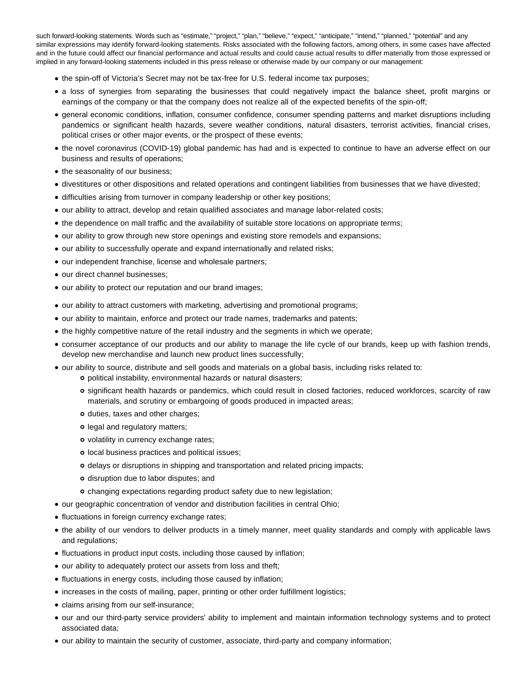such forward-looking statements. Words such as "estimate," "project," "plan," "believe," "expect," "anticipate," "intend," "planned," "potential" and any similar expressions may identify forward-looking statements. Risks associated with the following factors, among others, in some cases have affected and in the future could affect our financial performance and actual results and could cause actual results to differ materially from those expressed or implied in any forward-looking statements included in this press release or otherwise made by our company or our management:

- the spin-off of Victoria's Secret may not be tax-free for U.S. federal income tax purposes;
- a loss of synergies from separating the businesses that could negatively impact the balance sheet, profit margins or earnings of the company or that the company does not realize all of the expected benefits of the spin-off;
- general economic conditions, inflation, consumer confidence, consumer spending patterns and market disruptions including pandemics or significant health hazards, severe weather conditions, natural disasters, terrorist activities, financial crises, political crises or other major events, or the prospect of these events;
- the novel coronavirus (COVID-19) global pandemic has had and is expected to continue to have an adverse effect on our business and results of operations;
- the seasonality of our business;
- divestitures or other dispositions and related operations and contingent liabilities from businesses that we have divested;
- difficulties arising from turnover in company leadership or other key positions;
- our ability to attract, develop and retain qualified associates and manage labor-related costs;
- the dependence on mall traffic and the availability of suitable store locations on appropriate terms;
- our ability to grow through new store openings and existing store remodels and expansions;
- our ability to successfully operate and expand internationally and related risks;
- our independent franchise, license and wholesale partners;
- our direct channel businesses;
- our ability to protect our reputation and our brand images;
- our ability to attract customers with marketing, advertising and promotional programs;
- our ability to maintain, enforce and protect our trade names, trademarks and patents;
- the highly competitive nature of the retail industry and the segments in which we operate;
- consumer acceptance of our products and our ability to manage the life cycle of our brands, keep up with fashion trends, develop new merchandise and launch new product lines successfully;
- our ability to source, distribute and sell goods and materials on a global basis, including risks related to:
	- political instability, environmental hazards or natural disasters;
	- significant health hazards or pandemics, which could result in closed factories, reduced workforces, scarcity of raw materials, and scrutiny or embargoing of goods produced in impacted areas;
	- o duties, taxes and other charges;
	- o legal and regulatory matters;
	- o volatility in currency exchange rates;
	- o local business practices and political issues;
	- delays or disruptions in shipping and transportation and related pricing impacts;
	- o disruption due to labor disputes; and
	- o changing expectations regarding product safety due to new legislation;
- our geographic concentration of vendor and distribution facilities in central Ohio;
- fluctuations in foreign currency exchange rates;
- the ability of our vendors to deliver products in a timely manner, meet quality standards and comply with applicable laws and regulations;
- fluctuations in product input costs, including those caused by inflation;
- our ability to adequately protect our assets from loss and theft;
- fluctuations in energy costs, including those caused by inflation;
- increases in the costs of mailing, paper, printing or other order fulfillment logistics;
- claims arising from our self-insurance;
- our and our third-party service providers' ability to implement and maintain information technology systems and to protect associated data;
- our ability to maintain the security of customer, associate, third-party and company information;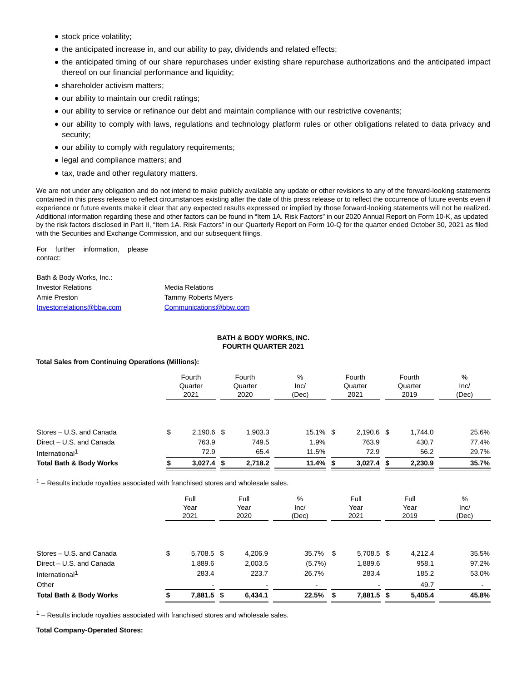- stock price volatility;
- the anticipated increase in, and our ability to pay, dividends and related effects;
- the anticipated timing of our share repurchases under existing share repurchase authorizations and the anticipated impact thereof on our financial performance and liquidity;
- shareholder activism matters;
- our ability to maintain our credit ratings;
- our ability to service or refinance our debt and maintain compliance with our restrictive covenants;
- our ability to comply with laws, regulations and technology platform rules or other obligations related to data privacy and security;
- our ability to comply with regulatory requirements;
- legal and compliance matters; and
- tax, trade and other regulatory matters.

We are not under any obligation and do not intend to make publicly available any update or other revisions to any of the forward-looking statements contained in this press release to reflect circumstances existing after the date of this press release or to reflect the occurrence of future events even if experience or future events make it clear that any expected results expressed or implied by those forward-looking statements will not be realized. Additional information regarding these and other factors can be found in "Item 1A. Risk Factors" in our 2020 Annual Report on Form 10-K, as updated by the risk factors disclosed in Part II, "Item 1A. Risk Factors" in our Quarterly Report on Form 10-Q for the quarter ended October 30, 2021 as filed with the Securities and Exchange Commission, and our subsequent filings.

For further information, please contact:

| Bath & Body Works, Inc.:  |                            |
|---------------------------|----------------------------|
| <b>Investor Relations</b> | <b>Media Relations</b>     |
| Amie Preston              | <b>Tammy Roberts Myers</b> |
| Investorrelations@bbw.com | Communications@bbw.com     |

### **BATH & BODY WORKS, INC. FOURTH QUARTER 2021**

#### **Total Sales from Continuing Operations (Millions):**

|                                                                                        | Fourth<br>Quarter<br>2021            | Fourth<br>Quarter<br>2020   | $\%$<br>Inc/<br>(Dec)          | Fourth<br>Quarter<br>2021        | Fourth<br>Quarter<br>2019 | %<br>lnc/<br>(Dec)      |
|----------------------------------------------------------------------------------------|--------------------------------------|-----------------------------|--------------------------------|----------------------------------|---------------------------|-------------------------|
| Stores - U.S. and Canada<br>Direct - U.S. and Canada                                   | \$<br>$2,190.6$ \$<br>763.9<br>72.9  | 1,903.3<br>749.5<br>65.4    | 15.1% \$<br>1.9%<br>11.5%      | $2,190.6$ \$<br>763.9<br>72.9    | 1,744.0<br>430.7<br>56.2  | 25.6%<br>77.4%<br>29.7% |
| International <sup>1</sup><br><b>Total Bath &amp; Body Works</b>                       | $3,027.4$ \$                         | 2,718.2                     | 11.4% \$                       | $3,027.4$ \$                     | 2,230.9                   | 35.7%                   |
| $1 -$ Results include royalties associated with franchised stores and wholesale sales. |                                      |                             |                                |                                  |                           |                         |
|                                                                                        | Full<br>Year<br>2021                 | Full<br>Year<br>2020        | $\%$<br>Inc/<br>(Dec)          | Full<br>Year<br>2021             | Full<br>Year<br>2019      | %<br>Inc/<br>(Dec)      |
| Stores - U.S. and Canada<br>Direct - U.S. and Canada<br>International <sup>1</sup>     | \$<br>5,708.5 \$<br>1,889.6<br>283.4 | 4,206.9<br>2,003.5<br>223.7 | 35.7% \$<br>$(5.7\%)$<br>26.7% | $5,708.5$ \$<br>1,889.6<br>283.4 | 4,212.4<br>958.1<br>185.2 | 35.5%<br>97.2%<br>53.0% |

Other - - - - 49.7 - **Total Bath & Body Works \$ 7,881.5 \$ 6,434.1 22.5% \$ 7,881.5 \$ 5,405.4 45.8%**

 $1 -$  Results include royalties associated with franchised stores and wholesale sales.

**Total Company-Operated Stores:**